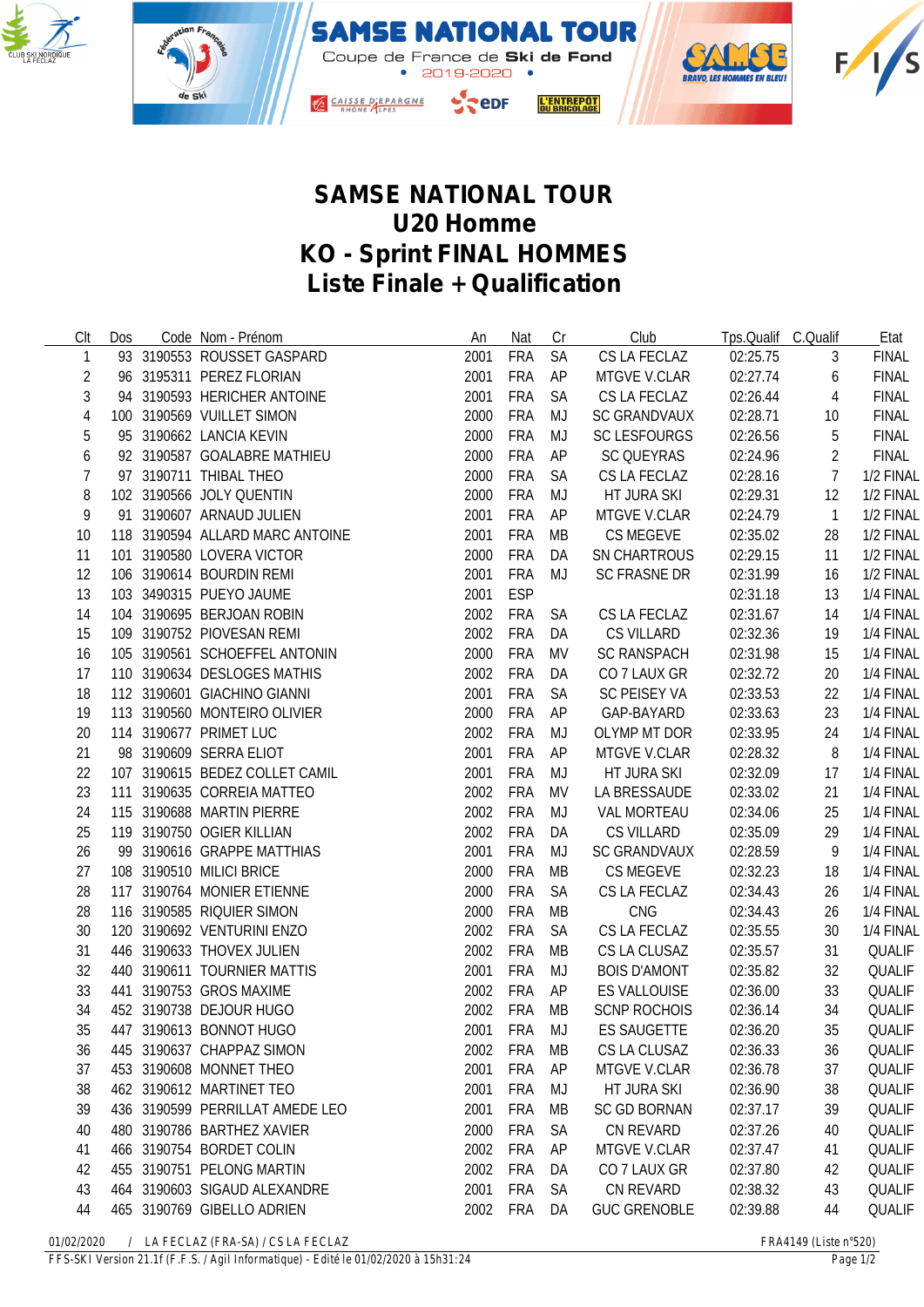



## **SAMSE NATIONAL TOUR U20 Homme KO - Sprint FINAL HOMMES Liste Finale + Qualification**

| Clt        | <b>Dos</b> | Code Nom - Prénom               | An   | Nat        | Cr        | Club                | Tps.Qualif C.Qualif |                | Etat          |
|------------|------------|---------------------------------|------|------------|-----------|---------------------|---------------------|----------------|---------------|
| 1          |            | 93 3190553 ROUSSET GASPARD      | 2001 | <b>FRA</b> | <b>SA</b> | CS LA FECLAZ        | 02:25.75            | 3              | <b>FINAL</b>  |
| 2          |            | 96 3195311 PEREZ FLORIAN        | 2001 | <b>FRA</b> | AP        | MTGVE V.CLAR        | 02:27.74            | 6              | <b>FINAL</b>  |
| 3          |            | 94 3190593 HERICHER ANTOINE     | 2001 | <b>FRA</b> | SA        | CS LA FECLAZ        | 02:26.44            | 4              | <b>FINAL</b>  |
| $\sqrt{4}$ |            | 100 3190569 VUILLET SIMON       | 2000 | <b>FRA</b> | MJ        | <b>SC GRANDVAUX</b> | 02:28.71            | 10             | <b>FINAL</b>  |
| 5          |            | 95 3190662 LANCIA KEVIN         | 2000 | <b>FRA</b> | MJ        | <b>SC LESFOURGS</b> | 02:26.56            | 5              | <b>FINAL</b>  |
| 6          |            | 92 3190587 GOALABRE MATHIEU     | 2000 | <b>FRA</b> | AP        | SC QUEYRAS          | 02:24.96            | 2              | <b>FINAL</b>  |
| 7          |            | 97 3190711 THIBAL THEO          | 2000 | <b>FRA</b> | <b>SA</b> | CS LA FECLAZ        | 02:28.16            | $\overline{7}$ | 1/2 FINAL     |
| 8          |            | 102 3190566 JOLY QUENTIN        | 2000 | <b>FRA</b> | MJ        | HT JURA SKI         | 02:29.31            | 12             | 1/2 FINAL     |
| 9          |            | 91 3190607 ARNAUD JULIEN        | 2001 | <b>FRA</b> | AP        | MTGVE V.CLAR        | 02:24.79            | $\overline{1}$ | 1/2 FINAL     |
| 10         |            | 118 3190594 ALLARD MARC ANTOINE | 2001 | <b>FRA</b> | MB        | CS MEGEVE           | 02:35.02            | 28             | 1/2 FINAL     |
| 11         |            | 101 3190580 LOVERA VICTOR       | 2000 | <b>FRA</b> | DA        | SN CHARTROUS        | 02:29.15            | 11             | 1/2 FINAL     |
| 12         |            | 106 3190614 BOURDIN REMI        | 2001 | <b>FRA</b> | MJ        | <b>SC FRASNE DR</b> | 02:31.99            | 16             | 1/2 FINAL     |
| 13         |            | 103 3490315 PUEYO JAUME         | 2001 | <b>ESP</b> |           |                     | 02:31.18            | 13             | 1/4 FINAL     |
| 14         |            | 104 3190695 BERJOAN ROBIN       | 2002 | <b>FRA</b> | <b>SA</b> | CS LA FECLAZ        | 02:31.67            | 14             | 1/4 FINAL     |
| 15         |            | 109 3190752 PIOVESAN REMI       | 2002 | <b>FRA</b> | DA        | CS VILLARD          | 02:32.36            | 19             | 1/4 FINAL     |
| 16         |            | 105 3190561 SCHOEFFEL ANTONIN   | 2000 | <b>FRA</b> | MV        | <b>SC RANSPACH</b>  | 02:31.98            | 15             | 1/4 FINAL     |
| 17         |            | 110 3190634 DESLOGES MATHIS     | 2002 | FRA        | DA        | CO 7 LAUX GR        | 02:32.72            | 20             | 1/4 FINAL     |
| 18         |            | 112 3190601 GIACHINO GIANNI     | 2001 | FRA        | SA        | SC PEISEY VA        | 02:33.53            | 22             | 1/4 FINAL     |
| 19         |            | 113 3190560 MONTEIRO OLIVIER    | 2000 | <b>FRA</b> | AP        | GAP-BAYARD          | 02:33.63            | 23             | 1/4 FINAL     |
| 20         |            | 114 3190677 PRIMET LUC          | 2002 | <b>FRA</b> | MJ        | OLYMP MT DOR        | 02:33.95            | 24             | 1/4 FINAL     |
| 21         |            | 98 3190609 SERRA ELIOT          | 2001 | <b>FRA</b> | AP        | MTGVE V.CLAR        | 02:28.32            | 8              | 1/4 FINAL     |
| 22         |            | 107 3190615 BEDEZ COLLET CAMIL  | 2001 | <b>FRA</b> | MJ        | HT JURA SKI         | 02:32.09            | 17             | 1/4 FINAL     |
| 23         |            | 111 3190635 CORREIA MATTEO      | 2002 | <b>FRA</b> | MV        | LA BRESSAUDE        | 02:33.02            | 21             | 1/4 FINAL     |
| 24         |            | 115 3190688 MARTIN PIERRE       | 2002 | <b>FRA</b> | MJ        | <b>VAL MORTEAU</b>  | 02:34.06            | 25             | 1/4 FINAL     |
| 25         |            | 119 3190750 OGIER KILLIAN       | 2002 | <b>FRA</b> | DA        | <b>CS VILLARD</b>   | 02:35.09            | 29             | 1/4 FINAL     |
| 26         |            | 99 3190616 GRAPPE MATTHIAS      | 2001 | <b>FRA</b> | MJ        | <b>SC GRANDVAUX</b> | 02:28.59            | 9              | 1/4 FINAL     |
| 27         |            | 108 3190510 MILICI BRICE        | 2000 | <b>FRA</b> | МB        | CS MEGEVE           | 02:32.23            | 18             | 1/4 FINAL     |
| 28         |            | 117 3190764 MONIER ETIENNE      | 2000 | <b>FRA</b> | SA        | CS LA FECLAZ        | 02:34.43            | 26             | 1/4 FINAL     |
| 28         |            | 116 3190585 RIQUIER SIMON       | 2000 | <b>FRA</b> | MB        | CNG                 | 02:34.43            | 26             | 1/4 FINAL     |
| 30         |            | 120 3190692 VENTURINI ENZO      | 2002 | <b>FRA</b> | <b>SA</b> | CS LA FECLAZ        | 02:35.55            | 30             | 1/4 FINAL     |
| 31         |            | 446 3190633 THOVEX JULIEN       | 2002 | <b>FRA</b> | MB        | CS LA CLUSAZ        | 02:35.57            | 31             | QUALIF        |
| 32         |            | 440 3190611 TOURNIER MATTIS     | 2001 | <b>FRA</b> | MJ        | <b>BOIS D'AMONT</b> | 02:35.82            | 32             | QUALIF        |
| 33         |            | 441 3190753 GROS MAXIME         | 2002 | <b>FRA</b> | AP        | ES VALLOUISE        | 02:36.00            | 33             | QUALIF        |
| 34         |            | 452 3190738 DEJOUR HUGO         |      | 2002 FRA   | MB        | <b>SCNP ROCHOIS</b> | 02:36.14            | 34             | <b>QUALIF</b> |
| 35         |            | 447 3190613 BONNOT HUGO         | 2001 | FRA        | MJ        | <b>ES SAUGETTE</b>  | 02:36.20            | 35             | QUALIF        |
| 36         |            | 445 3190637 CHAPPAZ SIMON       | 2002 | <b>FRA</b> | MB        | CS LA CLUSAZ        | 02:36.33            | 36             | QUALIF        |
| 37         |            | 453 3190608 MONNET THEO         | 2001 | <b>FRA</b> | AP        | <b>MTGVE V.CLAR</b> | 02:36.78            | 37             | <b>QUALIF</b> |
| 38         |            | 462 3190612 MARTINET TEO        | 2001 | <b>FRA</b> | MJ        | HT JURA SKI         | 02:36.90            | 38             | <b>QUALIF</b> |
| 39         |            | 436 3190599 PERRILLAT AMEDE LEO | 2001 | <b>FRA</b> | MВ        | <b>SC GD BORNAN</b> | 02:37.17            | 39             | <b>QUALIF</b> |
| 40         |            | 480 3190786 BARTHEZ XAVIER      | 2000 | <b>FRA</b> | <b>SA</b> | <b>CN REVARD</b>    | 02:37.26            | 40             | <b>QUALIF</b> |
| 41         |            | 466 3190754 BORDET COLIN        | 2002 | <b>FRA</b> | AP        | MTGVE V.CLAR        | 02:37.47            | 41             | <b>QUALIF</b> |
| 42         |            | 455 3190751 PELONG MARTIN       | 2002 | <b>FRA</b> | DA        | CO 7 LAUX GR        | 02:37.80            | 42             | QUALIF        |
| 43         |            | 464 3190603 SIGAUD ALEXANDRE    | 2001 | <b>FRA</b> | <b>SA</b> | CN REVARD           | 02:38.32            | 43             | QUALIF        |
| 44         |            | 465 3190769 GIBELLO ADRIEN      | 2002 | <b>FRA</b> | DA        | <b>GUC GRENOBLE</b> | 02:39.88            | 44             | <b>QUALIF</b> |
|            |            |                                 |      |            |           |                     |                     |                |               |